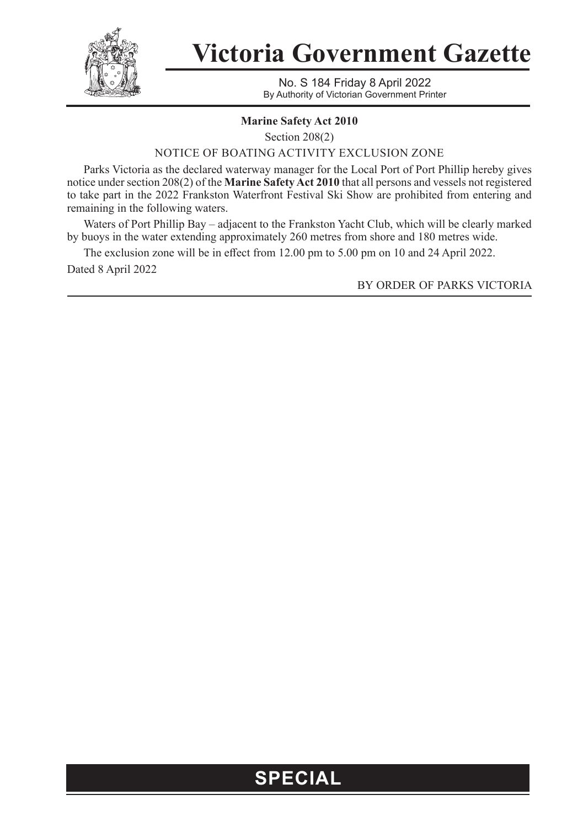

**Victoria Government Gazette**

No. S 184 Friday 8 April 2022 By Authority of Victorian Government Printer

## **Marine Safety Act 2010**

Section 208(2)

NOTICE OF BOATING ACTIVITY EXCLUSION ZONE

Parks Victoria as the declared waterway manager for the Local Port of Port Phillip hereby gives notice under section 208(2) of the **Marine Safety Act 2010** that all persons and vessels not registered to take part in the 2022 Frankston Waterfront Festival Ski Show are prohibited from entering and remaining in the following waters.

Waters of Port Phillip Bay – adjacent to the Frankston Yacht Club, which will be clearly marked by buoys in the water extending approximately 260 metres from shore and 180 metres wide.

The exclusion zone will be in effect from 12.00 pm to 5.00 pm on 10 and 24 April 2022. Dated 8 April 2022

BY ORDER OF PARKS VICTORIA

## **SPECIAL**